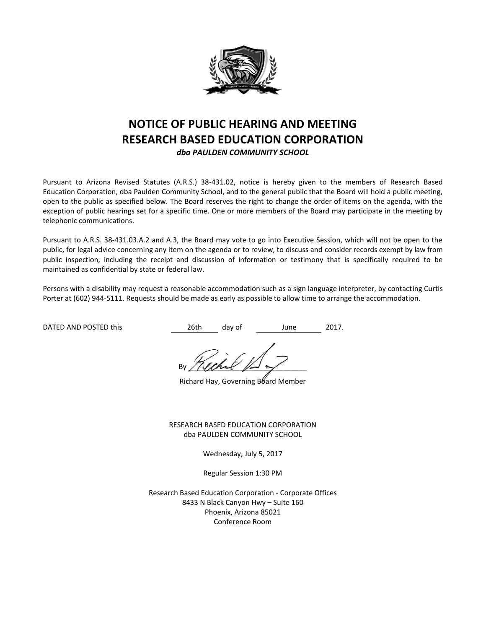

# **NOTICE OF PUBLIC HEARING AND MEETING RESEARCH BASED EDUCATION CORPORATION**

*dba PAULDEN COMMUNITY SCHOOL*

Pursuant to Arizona Revised Statutes (A.R.S.) 38-431.02, notice is hereby given to the members of Research Based Education Corporation, dba Paulden Community School, and to the general public that the Board will hold a public meeting, open to the public as specified below. The Board reserves the right to change the order of items on the agenda, with the exception of public hearings set for a specific time. One or more members of the Board may participate in the meeting by telephonic communications.

Pursuant to A.R.S. 38-431.03.A.2 and A.3, the Board may vote to go into Executive Session, which will not be open to the public, for legal advice concerning any item on the agenda or to review, to discuss and consider records exempt by law from public inspection, including the receipt and discussion of information or testimony that is specifically required to be maintained as confidential by state or federal law.

Persons with a disability may request a reasonable accommodation such as a sign language interpreter, by contacting Curtis Porter at (602) 944-5111. Requests should be made as early as possible to allow time to arrange the accommodation.

DATED AND POSTED this  $26th$  day of June 2017.

By / (land  $\mathbb{R}$ 

Richard Hay, Governing Board Member

RESEARCH BASED EDUCATION CORPORATION dba PAULDEN COMMUNITY SCHOOL

Wednesday, July 5, 2017

Regular Session 1:30 PM

Research Based Education Corporation - Corporate Offices 8433 N Black Canyon Hwy – Suite 160 Phoenix, Arizona 85021 Conference Room